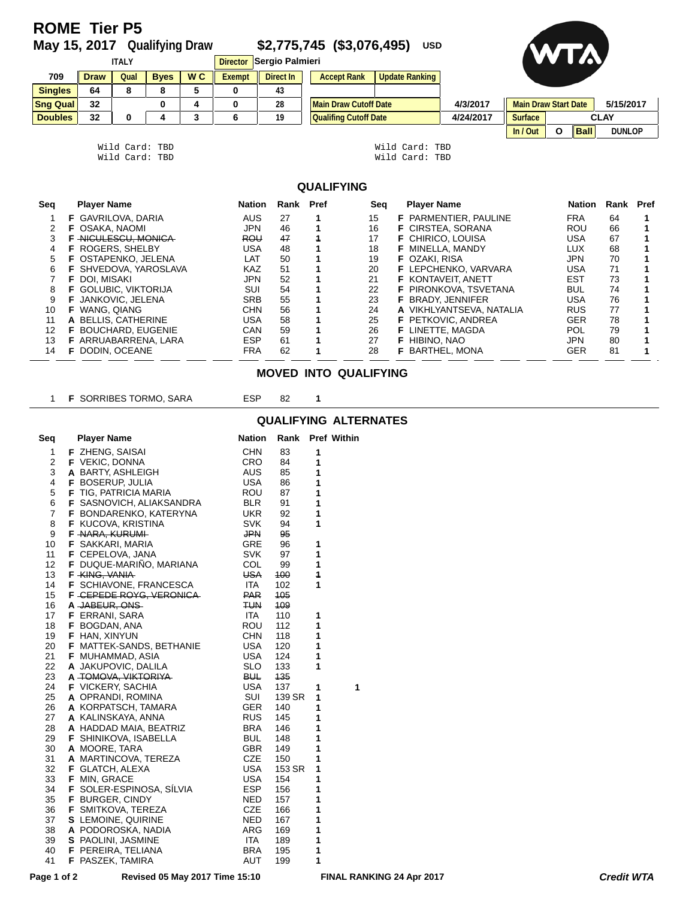# **ROME Tier P5**<br>May 15, 2017 Qualifying Draw

**May 15, 2017 Qualifying Draw \$2,775,745 (\$3,076,495) USD**



| <b>ITALY</b>    |             |      |              |                | Director Sergio Palmieri | UW,       |                              |                |           |                             |          |             |               |
|-----------------|-------------|------|--------------|----------------|--------------------------|-----------|------------------------------|----------------|-----------|-----------------------------|----------|-------------|---------------|
| 709             | <b>Draw</b> | Qual | <b>B</b> ves | W <sub>C</sub> | Exempt                   | Direct In | <b>Accept Rank</b>           | Update Ranking |           |                             |          |             |               |
| <b>Singles</b>  | 64          |      |              |                |                          | 43        |                              |                |           |                             |          |             |               |
| <b>Sng Qual</b> | 32          |      | 0            |                |                          | 28        | <b>Main Draw Cutoff Date</b> |                | 4/3/2017  | <b>Main Draw Start Date</b> |          |             | 5/15/2017     |
| <b>Doubles</b>  | 32          |      |              | ◠              |                          | 19        | <b>Qualifing Cutoff Date</b> |                | 4/24/2017 | <b>Surface</b>              |          |             | <b>CLAY</b>   |
|                 |             |      |              |                |                          |           |                              |                |           | In / Out                    | $\Omega$ | <b>Ball</b> | <b>DUNLOP</b> |

| Wild Card: TBD |  | Wild Card: TBD |  |
|----------------|--|----------------|--|
| Wild Card: TBD |  | Wild Card: TBD |  |

| Wild Card: TBD |  |
|----------------|--|
| Wild Card: TBD |  |

#### **QUALIFYING**

| Seq | <b>Player Name</b>           | Nation     | Rank | Pref | Sea | <b>Player Name</b>           | Nation     | Rank Pref |  |
|-----|------------------------------|------------|------|------|-----|------------------------------|------------|-----------|--|
|     | <b>F</b> GAVRILOVA, DARIA    | <b>AUS</b> | 27   |      | 15  | <b>F</b> PARMENTIER, PAULINE | <b>FRA</b> | 64        |  |
|     | <b>F</b> OSAKA, NAOMI        | JPN        | 46   |      | 16  | <b>F</b> CIRSTEA, SORANA     | <b>ROU</b> | 66        |  |
|     | NICULESCU, MONICA            | <b>ROU</b> | 47   |      | 17  | <b>F</b> CHIRICO, LOUISA     | USA        | 67        |  |
|     | <b>F</b> ROGERS, SHELBY      | USA        | 48   |      | 18  | <b>F</b> MINELLA, MANDY      | LUX        | 68        |  |
|     | <b>F</b> OSTAPENKO, JELENA   | LAT        | 50   |      | 19  | <b>F</b> OZAKI, RISA         | JPN        | 70        |  |
| 6   | <b>F</b> SHVEDOVA, YAROSLAVA | <b>KAZ</b> | 51   |      | 20  | <b>F</b> LEPCHENKO, VARVARA  | USA        | 71        |  |
|     | <b>F</b> DOI. MISAKI         | <b>JPN</b> | 52   |      | 21  | <b>F KONTAVEIT, ANETT</b>    | <b>EST</b> | 73        |  |
| 8   | <b>F</b> GOLUBIC. VIKTORIJA  | <b>SUI</b> | 54   |      | 22  | <b>F</b> PIRONKOVA, TSVETANA | <b>BUL</b> | 74        |  |
| 9   | JANKOVIC, JELENA             | <b>SRB</b> | 55   |      | 23  | <b>F</b> BRADY, JENNIFER     | USA        | 76        |  |
| 10  | WANG, QIANG                  | <b>CHN</b> | 56   |      | 24  | A VIKHLYANTSEVA, NATALIA     | <b>RUS</b> | 77        |  |
| 11  | A BELLIS, CATHERINE          | USA        | 58   |      | 25  | <b>F</b> PETKOVIC, ANDREA    | <b>GER</b> | 78        |  |
| 12  | <b>BOUCHARD, EUGENIE</b>     | <b>CAN</b> | 59   |      | 26  | <b>F</b> LINETTE, MAGDA      | POL        | 79        |  |
| 13  | F ARRUABARRENA, LARA         | <b>ESP</b> | 61   |      | 27  | <b>F</b> HIBINO, NAO         | JPN        | 80        |  |
| 14  | DODIN, OCEANE                | FRA        | 62   |      | 28  | <b>F</b> BARTHEL, MONA       | <b>GER</b> | 81        |  |

#### **MOVED INTO QUALIFYING**

| 1           | <b>F SORRIBES TORMO, SARA</b>                              | <b>ESP</b> | 82     | 1 |                                  |                   |
|-------------|------------------------------------------------------------|------------|--------|---|----------------------------------|-------------------|
|             |                                                            |            |        |   | <b>QUALIFYING ALTERNATES</b>     |                   |
| Seq         | <b>Player Name</b>                                         | Nation     |        |   | Rank Pref Within                 |                   |
| 1           | F ZHENG, SAISAI                                            | <b>CHN</b> | 83     | 1 |                                  |                   |
| 2           | <b>F</b> VEKIC, DONNA                                      | CRO        | 84     | 1 |                                  |                   |
| 3           | A BARTY, ASHLEIGH                                          | AUS        | 85     | 1 |                                  |                   |
| 4           | <b>F</b> BOSERUP, JULIA                                    | <b>USA</b> | 86     | 1 |                                  |                   |
| 5           | <b>F</b> TIG, PATRICIA MARIA                               | ROU        | 87     | 1 |                                  |                   |
| 6           | <b>F</b> SASNOVICH, ALIAKSANDRA                            | <b>BLR</b> | 91     | 1 |                                  |                   |
| 7           | <b>F</b> BONDARENKO, KATERYNA                              | <b>UKR</b> | 92     | 1 |                                  |                   |
| 8           | <b>F</b> KUCOVA, KRISTINA                                  | SVK        | 94     | 1 |                                  |                   |
| 9           | F NARA, KURUMI                                             | <b>JPN</b> | 95     |   |                                  |                   |
| 10          | <b>F</b> SAKKARI, MARIA                                    | GRE        | 96     | 1 |                                  |                   |
| 11          | <b>F</b> CEPELOVA, JANA                                    | <b>SVK</b> | 97     | 1 |                                  |                   |
| 12          | <b>F</b> DUQUE-MARINO, MARIANA                             | COL        | 99     | 1 |                                  |                   |
| 13          | F KING, VANIA                                              | <b>USA</b> | 100    | 4 |                                  |                   |
| 14          |                                                            | <b>ITA</b> | 102    | 1 |                                  |                   |
|             | <b>F</b> SCHIAVONE, FRANCESCA<br>F - CEPEDE ROYG, VERONICA | <b>PAR</b> | 105    |   |                                  |                   |
| 15          |                                                            |            |        |   |                                  |                   |
| 16          | A JABEUR, ONS                                              | <b>TUN</b> | 109    |   |                                  |                   |
| 17          | <b>F</b> ERRANI, SARA                                      | ITA        | 110    | 1 |                                  |                   |
| 18          | F BOGDAN, ANA                                              | ROU        | 112    | 1 |                                  |                   |
| 19          | F HAN, XINYUN                                              | CHN        | 118    | 1 |                                  |                   |
| 20          | <b>F</b> MATTEK-SANDS, BETHANIE                            | <b>USA</b> | 120    | 1 |                                  |                   |
| 21          | F MUHAMMAD, ASIA                                           | <b>USA</b> | 124    | 1 |                                  |                   |
| 22          | A JAKUPOVIC, DALILA                                        | <b>SLO</b> | 133    | 1 |                                  |                   |
| 23          | A TOMOVA, VIKTORIYA                                        | <b>BUL</b> | 135    |   |                                  |                   |
| 24          | <b>F</b> VICKERY, SACHIA                                   | <b>USA</b> | 137    | 1 | 1                                |                   |
| 25          | A OPRANDI, ROMINA                                          | SUI        | 139 SR | 1 |                                  |                   |
| 26          | A KORPATSCH, TAMARA                                        | GER        | 140    | 1 |                                  |                   |
| 27          | A KALINSKAYA, ANNA                                         | <b>RUS</b> | 145    | 1 |                                  |                   |
| 28          | A HADDAD MAIA, BEATRIZ                                     | <b>BRA</b> | 146    | 1 |                                  |                   |
| 29          | <b>F</b> SHINIKOVA, ISABELLA                               | BUL        | 148    | 1 |                                  |                   |
| 30          | A MOORE, TARA                                              | <b>GBR</b> | 149    | 1 |                                  |                   |
| 31          | A MARTINCOVA, TEREZA                                       | <b>CZE</b> | 150    | 1 |                                  |                   |
| 32          | <b>F</b> GLATCH, ALEXA                                     | <b>USA</b> | 153 SR | 1 |                                  |                   |
| 33          | F MIN, GRACE                                               | <b>USA</b> | 154    | 1 |                                  |                   |
| 34          | <b>F</b> SOLER-ESPINOSA, SILVIA                            | <b>ESP</b> | 156    | 1 |                                  |                   |
| 35          | <b>F</b> BURGER, CINDY                                     | NED        | 157    | 1 |                                  |                   |
| 36          | <b>F</b> SMITKOVA, TEREZA                                  | <b>CZE</b> | 166    | 1 |                                  |                   |
| 37          | S LEMOINE, QUIRINE                                         | NED        | 167    | 1 |                                  |                   |
| 38          | A PODOROSKA, NADIA                                         | ARG        | 169    | 1 |                                  |                   |
| 39          | S PAOLINI, JASMINE                                         | ITA        | 189    | 1 |                                  |                   |
| 40          | <b>F</b> PEREIRA, TELIANA                                  | <b>BRA</b> | 195    | 1 |                                  |                   |
| 41          | F PASZEK, TAMIRA                                           | AUT        | 199    | 1 |                                  |                   |
|             |                                                            |            |        |   |                                  |                   |
| Page 1 of 2 | Revised 05 May 2017 Time 15:10                             |            |        |   | <b>FINAL RANKING 24 Apr 2017</b> | <b>Credit WTA</b> |

## **QUALIFYING ALTERNATES**